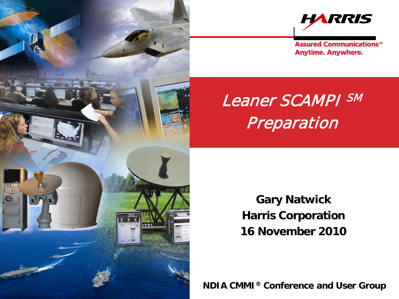



**Assured Communications<sup>™</sup> Anytime. Anywhere.** 

# Leaner SCAMPI SM Preparation

**Gary Natwick Harris Corporation 16 November 2010**

NDIA CMMI® Conference and User Group - 1 **NDIA CMMI® Conference and User Group**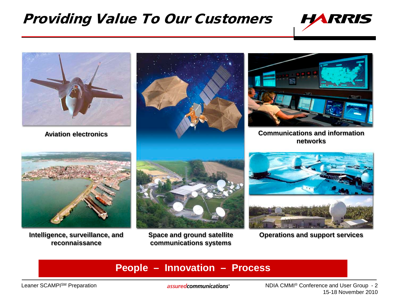## Providing Value To Our Customers





**reconnaissance**

**Space and ground satellite communications systems**

Intelligence, surveillance, and Space and ground satellite **Operations and support services** 

### **People – Innovation – Process**

Leaner SCAMPISM Preparation

assuredcommunications<sup>®</sup>

NDIA CMMI® Conference and User Group - 2 15-18 November 2010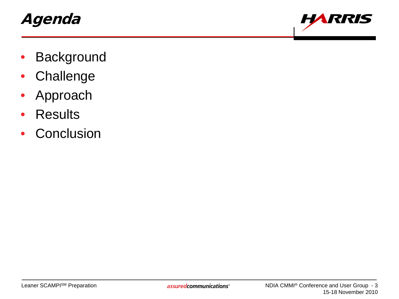# Agenda



- **Background**
- Challenge
- Approach
- Results
- Conclusion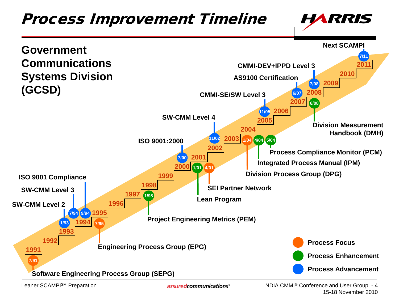

assuredcommunications<sup>®</sup>

NDIA CMMI® Conference and User Group - 4 15-18 November 2010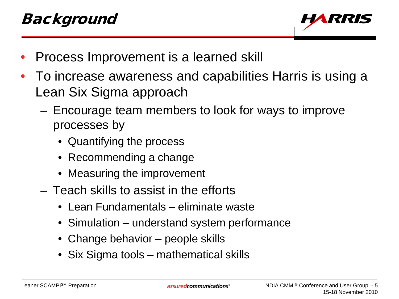

- Process Improvement is a learned skill
- To increase awareness and capabilities Harris is using a Lean Six Sigma approach
	- Encourage team members to look for ways to improve processes by
		- Quantifying the process
		- Recommending a change
		- Measuring the improvement
	- Teach skills to assist in the efforts
		- Lean Fundamentals eliminate waste
		- Simulation understand system performance
		- Change behavior people skills
		- Six Sigma tools mathematical skills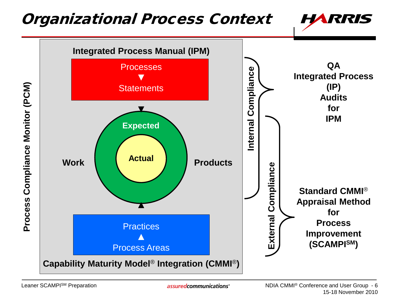## Organizational Process Context



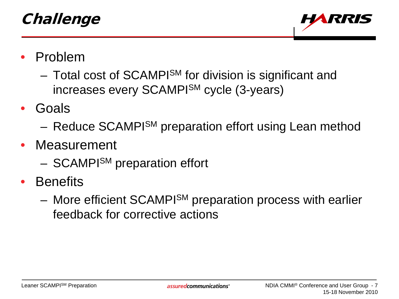

- Problem
	- Total cost of SCAMPI<sup>SM</sup> for division is significant and increases every SCAMPISM cycle (3-years)
- Goals
	- Reduce SCAMPISM preparation effort using Lean method
- Measurement
	- SCAMPI<sup>SM</sup> preparation effort
- **Benefits** 
	- More efficient SCAMPISM preparation process with earlier feedback for corrective actions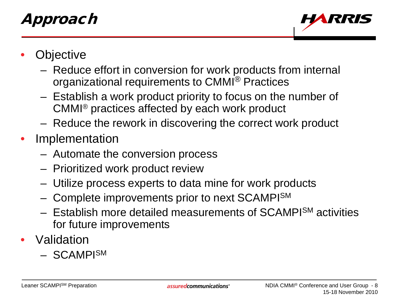# Approach



- **Objective** 
	- Reduce effort in conversion for work products from internal organizational requirements to CMMI® Practices
	- Establish a work product priority to focus on the number of CMMI® practices affected by each work product
	- Reduce the rework in discovering the correct work product
- **Implementation** 
	- Automate the conversion process
	- Prioritized work product review
	- Utilize process experts to data mine for work products
	- Complete improvements prior to next SCAMPISM
	- Establish more detailed measurements of SCAMPISM activities for future improvements
- Validation
	- SCAMPISM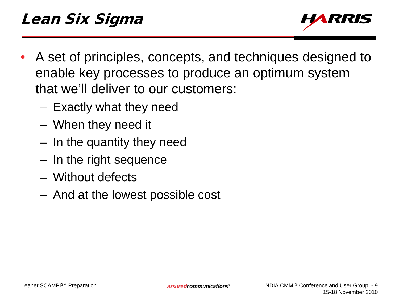

- A set of principles, concepts, and techniques designed to enable key processes to produce an optimum system that we'll deliver to our customers:
	- Exactly what they need
	- When they need it
	- In the quantity they need
	- In the right sequence
	- Without defects
	- And at the lowest possible cost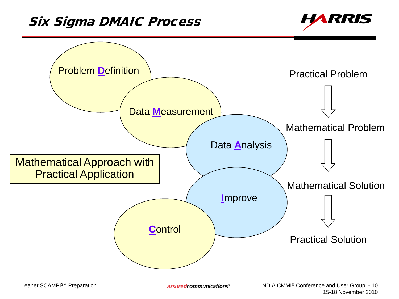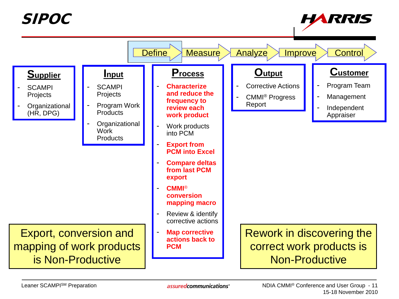SIPOC



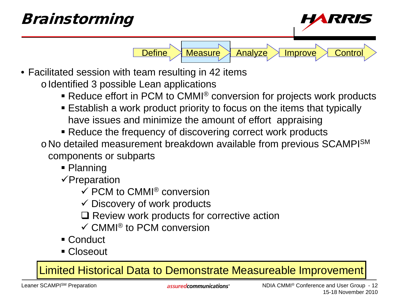## Brainstorming *RIRI* Define Measure Analyze Improve Control • Facilitated session with team resulting in 42 items o Identified 3 possible Lean applications ■ Reduce effort in PCM to CMMI<sup>®</sup> conversion for projects work products

- Establish a work product priority to focus on the items that typically have issues and minimize the amount of effort appraising
- Reduce the frequency of discovering correct work products
- o No detailed measurement breakdown available from previous SCAMPI<sup>SM</sup> components or subparts
	- Planning
	- $\checkmark$ Preparation
		- $\checkmark$  PCM to CMMI<sup>®</sup> conversion
		- $\checkmark$  Discovery of work products
		- $\Box$  Review work products for corrective action
		- $\checkmark$  CMMI<sup>®</sup> to PCM conversion
	- Conduct
	- Closeout

Limited Historical Data to Demonstrate Measureable Improvement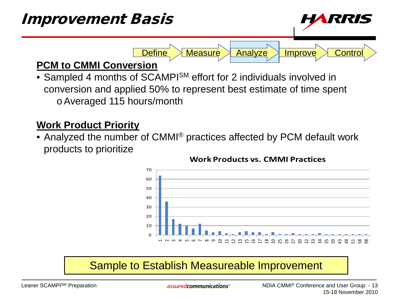

• Sampled 4 months of SCAMPI<sup>SM</sup> effort for 2 individuals involved in conversion and applied 50% to represent best estimate of time spent oAveraged 115 hours/month

## **Work Product Priority**

• Analyzed the number of CMMI<sup>®</sup> practices affected by PCM default work products to prioritize



#### **Work Products vs. CMMI Practices**

## Sample to Establish Measureable Improvement

assured communications<sup>®</sup>

NDIA CMMI® Conference and User Group - 13 15-18 November 2010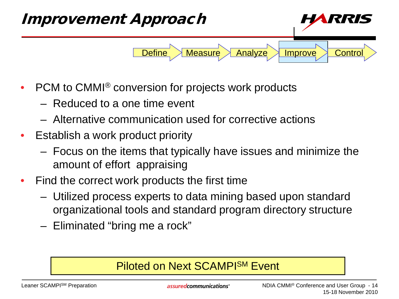

- PCM to CMMI<sup>®</sup> conversion for projects work products
	- Reduced to a one time event
	- Alternative communication used for corrective actions
- Establish a work product priority
	- Focus on the items that typically have issues and minimize the amount of effort appraising
- Find the correct work products the first time
	- Utilized process experts to data mining based upon standard organizational tools and standard program directory structure
	- Eliminated "bring me a rock"

## Piloted on Next SCAMPISM Event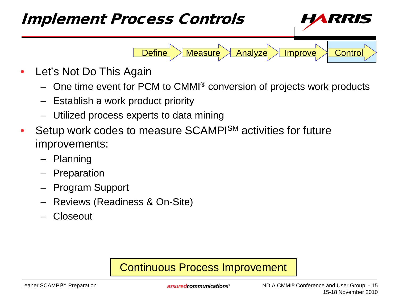

- Let's Not Do This Again
	- One time event for PCM to CMMI® conversion of projects work products
	- Establish a work product priority
	- Utilized process experts to data mining
- Setup work codes to measure SCAMPISM activities for future improvements:
	- Planning
	- Preparation
	- Program Support
	- Reviews (Readiness & On-Site)
	- Closeout

## Continuous Process Improvement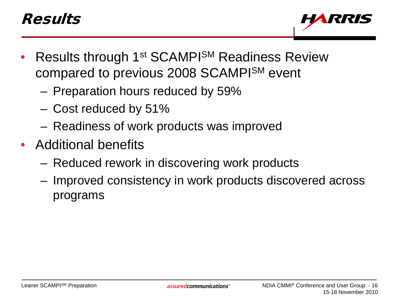# Results



- Results through 1<sup>st</sup> SCAMPI<sup>SM</sup> Readiness Review compared to previous 2008 SCAMPISM event
	- Preparation hours reduced by 59%
	- Cost reduced by 51%
	- Readiness of work products was improved
- Additional benefits
	- Reduced rework in discovering work products
	- Improved consistency in work products discovered across programs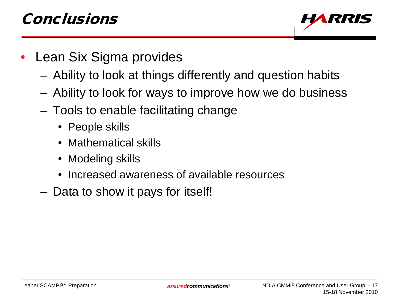# Conclusions



- Lean Six Sigma provides
	- Ability to look at things differently and question habits
	- Ability to look for ways to improve how we do business
	- Tools to enable facilitating change
		- People skills
		- Mathematical skills
		- Modeling skills
		- Increased awareness of available resources
	- Data to show it pays for itself!